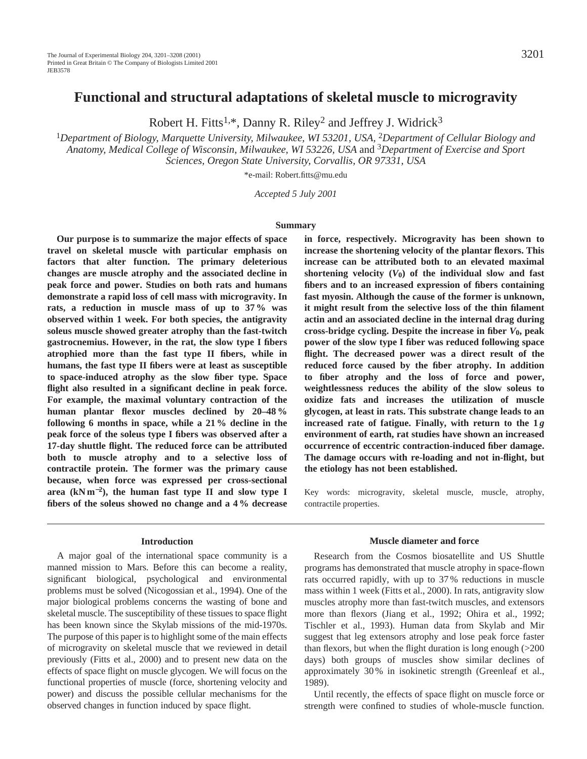# **Functional and structural adaptations of skeletal muscle to microgravity**

Robert H. Fitts<sup>1,\*</sup>, Danny R. Riley<sup>2</sup> and Jeffrey J. Widrick<sup>3</sup>

<sup>1</sup>*Department of Biology, Marquette University, Milwaukee, WI 53201, USA,* 2*Department of Cellular Biology and Anatomy, Medical College of Wisconsin, Milwaukee, WI 53226, USA* and 3*Department of Exercise and Sport Sciences, Oregon State University, Corvallis, OR 97331, USA*

\*e-mail: Robert.fitts@mu.edu

*Accepted 5 July 2001*

## **Summary**

**Our purpose is to summarize the major effects of space travel on skeletal muscle with particular emphasis on factors that alter function. The primary deleterious changes are muscle atrophy and the associated decline in peak force and power. Studies on both rats and humans demonstrate a rapid loss of cell mass with microgravity. In rats, a reduction in muscle mass of up to 37 % was observed within 1 week. For both species, the antigravity soleus muscle showed greater atrophy than the fast-twitch gastrocnemius. However, in the rat, the slow type I fibers atrophied more than the fast type II fibers, while in humans, the fast type II fibers were at least as susceptible to space-induced atrophy as the slow fiber type. Space flight also resulted in a significant decline in peak force. For example, the maximal voluntary contraction of the human plantar flexor muscles declined by 20–48 % following 6 months in space, while a 21 % decline in the peak force of the soleus type I fibers was observed after a 17-day shuttle flight. The reduced force can be attributed both to muscle atrophy and to a selective loss of contractile protein. The former was the primary cause because, when force was expressed per cross-sectional area (kN m**<sup>−</sup>**2), the human fast type II and slow type I fibers of the soleus showed no change and a 4 % decrease**

### **Introduction**

A major goal of the international space community is a manned mission to Mars. Before this can become a reality, significant biological, psychological and environmental problems must be solved (Nicogossian et al., 1994). One of the major biological problems concerns the wasting of bone and skeletal muscle. The susceptibility of these tissues to space flight has been known since the Skylab missions of the mid-1970s. The purpose of this paper is to highlight some of the main effects of microgravity on skeletal muscle that we reviewed in detail previously (Fitts et al., 2000) and to present new data on the effects of space flight on muscle glycogen. We will focus on the functional properties of muscle (force, shortening velocity and power) and discuss the possible cellular mechanisms for the observed changes in function induced by space flight.

**in force, respectively. Microgravity has been shown to increase the shortening velocity of the plantar flexors. This increase can be attributed both to an elevated maximal** shortening velocity  $(V_0)$  of the individual slow and fast **fibers and to an increased expression of fibers containing fast myosin. Although the cause of the former is unknown, it might result from the selective loss of the thin filament actin and an associated decline in the internal drag during cross-bridge cycling. Despite the increase in fiber** *V***0, peak power of the slow type I fiber was reduced following space flight. The decreased power was a direct result of the reduced force caused by the fiber atrophy. In addition to fiber atrophy and the loss of force and power, weightlessness reduces the ability of the slow soleus to oxidize fats and increases the utilization of muscle glycogen, at least in rats. This substrate change leads to an increased rate of fatigue. Finally, with return to the 1** *g* **environment of earth, rat studies have shown an increased occurrence of eccentric contraction-induced fiber damage. The damage occurs with re-loading and not in-flight, but the etiology has not been established.**

Key words: microgravity, skeletal muscle, muscle, atrophy, contractile properties.

#### **Muscle diameter and force**

Research from the Cosmos biosatellite and US Shuttle programs has demonstrated that muscle atrophy in space-flown rats occurred rapidly, with up to 37 % reductions in muscle mass within 1 week (Fitts et al., 2000). In rats, antigravity slow muscles atrophy more than fast-twitch muscles, and extensors more than flexors (Jiang et al., 1992; Ohira et al., 1992; Tischler et al., 1993). Human data from Skylab and Mir suggest that leg extensors atrophy and lose peak force faster than flexors, but when the flight duration is long enough (>200 days) both groups of muscles show similar declines of approximately 30 % in isokinetic strength (Greenleaf et al., 1989).

Until recently, the effects of space flight on muscle force or strength were confined to studies of whole-muscle function.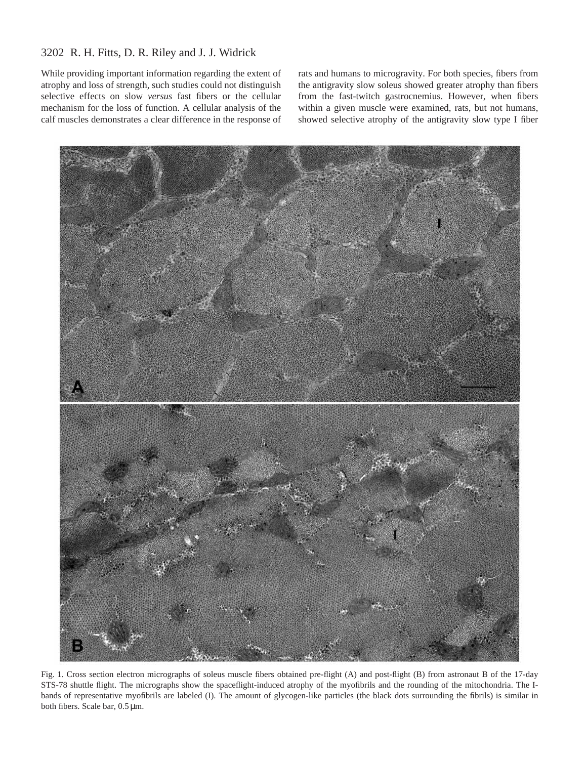# 3202 R. H. Fitts, D. R. Riley and J. J. Widrick

While providing important information regarding the extent of atrophy and loss of strength, such studies could not distinguish selective effects on slow *versus* fast fibers or the cellular mechanism for the loss of function. A cellular analysis of the calf muscles demonstrates a clear difference in the response of rats and humans to microgravity. For both species, fibers from the antigravity slow soleus showed greater atrophy than fibers from the fast-twitch gastrocnemius. However, when fibers within a given muscle were examined, rats, but not humans, showed selective atrophy of the antigravity slow type I fiber



Fig. 1. Cross section electron micrographs of soleus muscle fibers obtained pre-flight (A) and post-flight (B) from astronaut B of the 17-day STS-78 shuttle flight. The micrographs show the spaceflight-induced atrophy of the myofibrils and the rounding of the mitochondria. The Ibands of representative myofibrils are labeled (I). The amount of glycogen-like particles (the black dots surrounding the fibrils) is similar in both fibers. Scale bar, 0.5 µm.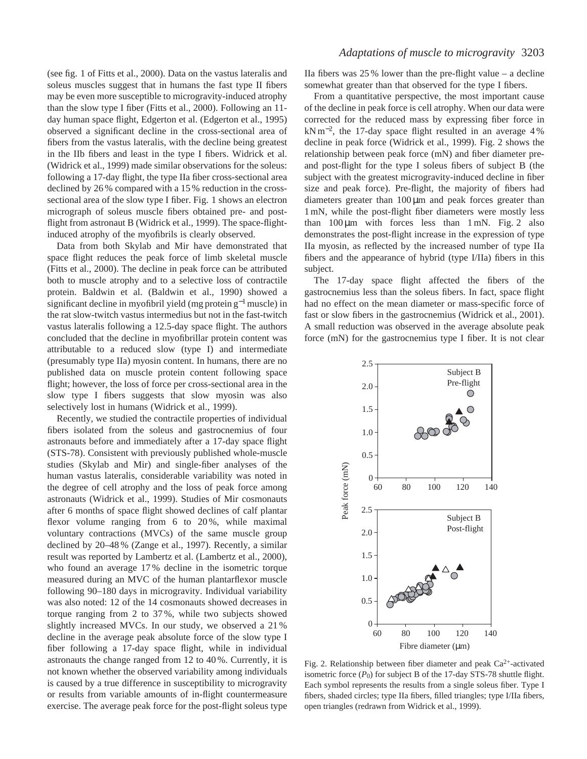(see fig. 1 of Fitts et al., 2000). Data on the vastus lateralis and soleus muscles suggest that in humans the fast type II fibers may be even more susceptible to microgravity-induced atrophy than the slow type I fiber (Fitts et al., 2000). Following an 11 day human space flight, Edgerton et al. (Edgerton et al., 1995) observed a significant decline in the cross-sectional area of fibers from the vastus lateralis, with the decline being greatest in the IIb fibers and least in the type I fibers. Widrick et al. (Widrick et al., 1999) made similar observations for the soleus: following a 17-day flight, the type IIa fiber cross-sectional area declined by 26 % compared with a 15 % reduction in the crosssectional area of the slow type I fiber. Fig. 1 shows an electron micrograph of soleus muscle fibers obtained pre- and postflight from astronaut B (Widrick et al., 1999). The space-flightinduced atrophy of the myofibrils is clearly observed.

Data from both Skylab and Mir have demonstrated that space flight reduces the peak force of limb skeletal muscle (Fitts et al., 2000). The decline in peak force can be attributed both to muscle atrophy and to a selective loss of contractile protein. Baldwin et al. (Baldwin et al., 1990) showed a significant decline in myofibril yield (mg protein g<sup>-1</sup> muscle) in the rat slow-twitch vastus intermedius but not in the fast-twitch vastus lateralis following a 12.5-day space flight. The authors concluded that the decline in myofibrillar protein content was attributable to a reduced slow (type I) and intermediate (presumably type IIa) myosin content. In humans, there are no published data on muscle protein content following space flight; however, the loss of force per cross-sectional area in the slow type I fibers suggests that slow myosin was also selectively lost in humans (Widrick et al., 1999).

Recently, we studied the contractile properties of individual fibers isolated from the soleus and gastrocnemius of four astronauts before and immediately after a 17-day space flight (STS-78). Consistent with previously published whole-muscle studies (Skylab and Mir) and single-fiber analyses of the human vastus lateralis, considerable variability was noted in the degree of cell atrophy and the loss of peak force among astronauts (Widrick et al., 1999). Studies of Mir cosmonauts after 6 months of space flight showed declines of calf plantar flexor volume ranging from 6 to 20%, while maximal voluntary contractions (MVCs) of the same muscle group declined by 20–48 % (Zange et al., 1997). Recently, a similar result was reported by Lambertz et al. (Lambertz et al., 2000), who found an average 17 % decline in the isometric torque measured during an MVC of the human plantarflexor muscle following 90–180 days in microgravity. Individual variability was also noted: 12 of the 14 cosmonauts showed decreases in torque ranging from 2 to 37 %, while two subjects showed slightly increased MVCs. In our study, we observed a 21 % decline in the average peak absolute force of the slow type I fiber following a 17-day space flight, while in individual astronauts the change ranged from 12 to 40 %. Currently, it is not known whether the observed variability among individuals is caused by a true difference in susceptibility to microgravity or results from variable amounts of in-flight countermeasure exercise. The average peak force for the post-flight soleus type

## *Adaptations of muscle to microgravity* 3203

IIa fibers was  $25\%$  lower than the pre-flight value – a decline somewhat greater than that observed for the type I fibers.

From a quantitative perspective, the most important cause of the decline in peak force is cell atrophy. When our data were corrected for the reduced mass by expressing fiber force in kN m<sup>−</sup>2, the 17-day space flight resulted in an average 4 % decline in peak force (Widrick et al., 1999). Fig. 2 shows the relationship between peak force (mN) and fiber diameter preand post-flight for the type I soleus fibers of subject B (the subject with the greatest microgravity-induced decline in fiber size and peak force). Pre-flight, the majority of fibers had diameters greater than  $100 \mu m$  and peak forces greater than 1 mN, while the post-flight fiber diameters were mostly less than  $100 \mu m$  with forces less than  $1 \text{ mN}$ . Fig. 2 also demonstrates the post-flight increase in the expression of type IIa myosin, as reflected by the increased number of type IIa fibers and the appearance of hybrid (type I/IIa) fibers in this subject.

The 17-day space flight affected the fibers of the gastrocnemius less than the soleus fibers. In fact, space flight had no effect on the mean diameter or mass-specific force of fast or slow fibers in the gastrocnemius (Widrick et al., 2001). A small reduction was observed in the average absolute peak force (mN) for the gastrocnemius type I fiber. It is not clear



Fig. 2. Relationship between fiber diameter and peak Ca2+-activated isometric force  $(P_0)$  for subject B of the 17-day STS-78 shuttle flight. Each symbol represents the results from a single soleus fiber. Type I fibers, shaded circles; type IIa fibers, filled triangles; type I/IIa fibers, open triangles (redrawn from Widrick et al., 1999).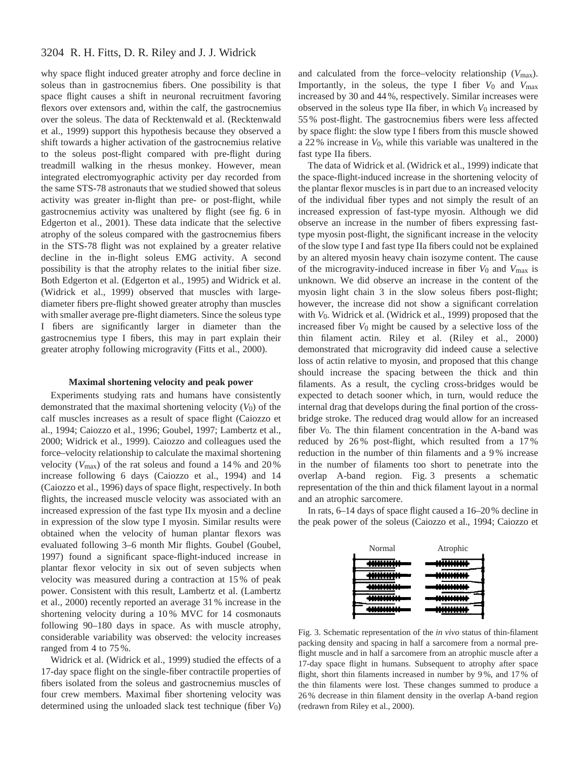## 3204 R. H. Fitts, D. R. Riley and J. J. Widrick

why space flight induced greater atrophy and force decline in soleus than in gastrocnemius fibers. One possibility is that space flight causes a shift in neuronal recruitment favoring flexors over extensors and, within the calf, the gastrocnemius over the soleus. The data of Recktenwald et al. (Recktenwald et al., 1999) support this hypothesis because they observed a shift towards a higher activation of the gastrocnemius relative to the soleus post-flight compared with pre-flight during treadmill walking in the rhesus monkey. However, mean integrated electromyographic activity per day recorded from the same STS-78 astronauts that we studied showed that soleus activity was greater in-flight than pre- or post-flight, while gastrocnemius activity was unaltered by flight (see fig. 6 in Edgerton et al., 2001). These data indicate that the selective atrophy of the soleus compared with the gastrocnemius fibers in the STS-78 flight was not explained by a greater relative decline in the in-flight soleus EMG activity. A second possibility is that the atrophy relates to the initial fiber size. Both Edgerton et al. (Edgerton et al., 1995) and Widrick et al. (Widrick et al., 1999) observed that muscles with largediameter fibers pre-flight showed greater atrophy than muscles with smaller average pre-flight diameters. Since the soleus type I fibers are significantly larger in diameter than the gastrocnemius type I fibers, this may in part explain their greater atrophy following microgravity (Fitts et al., 2000).

### **Maximal shortening velocity and peak power**

Experiments studying rats and humans have consistently demonstrated that the maximal shortening velocity  $(V_0)$  of the calf muscles increases as a result of space flight (Caiozzo et al., 1994; Caiozzo et al., 1996; Goubel, 1997; Lambertz et al., 2000; Widrick et al., 1999). Caiozzo and colleagues used the force–velocity relationship to calculate the maximal shortening velocity  $(V_{\text{max}})$  of the rat soleus and found a 14 % and 20 % increase following 6 days (Caiozzo et al., 1994) and 14 (Caiozzo et al., 1996) days of space flight, respectively. In both flights, the increased muscle velocity was associated with an increased expression of the fast type IIx myosin and a decline in expression of the slow type I myosin. Similar results were obtained when the velocity of human plantar flexors was evaluated following 3–6 month Mir flights. Goubel (Goubel, 1997) found a significant space-flight-induced increase in plantar flexor velocity in six out of seven subjects when velocity was measured during a contraction at 15 % of peak power. Consistent with this result, Lambertz et al. (Lambertz et al., 2000) recently reported an average 31 % increase in the shortening velocity during a 10 % MVC for 14 cosmonauts following 90–180 days in space. As with muscle atrophy, considerable variability was observed: the velocity increases ranged from 4 to 75 %.

Widrick et al. (Widrick et al., 1999) studied the effects of a 17-day space flight on the single-fiber contractile properties of fibers isolated from the soleus and gastrocnemius muscles of four crew members. Maximal fiber shortening velocity was determined using the unloaded slack test technique (fiber *V*0) and calculated from the force–velocity relationship (*V*max). Importantly, in the soleus, the type I fiber  $V_0$  and  $V_{\text{max}}$ increased by 30 and 44 %, respectively. Similar increases were observed in the soleus type IIa fiber, in which  $V_0$  increased by 55 % post-flight. The gastrocnemius fibers were less affected by space flight: the slow type I fibers from this muscle showed a 22 % increase in *V*0, while this variable was unaltered in the fast type IIa fibers.

The data of Widrick et al. (Widrick et al., 1999) indicate that the space-flight-induced increase in the shortening velocity of the plantar flexor muscles is in part due to an increased velocity of the individual fiber types and not simply the result of an increased expression of fast-type myosin. Although we did observe an increase in the number of fibers expressing fasttype myosin post-flight, the significant increase in the velocity of the slow type I and fast type IIa fibers could not be explained by an altered myosin heavy chain isozyme content. The cause of the microgravity-induced increase in fiber *V*0 and *V*max is unknown. We did observe an increase in the content of the myosin light chain 3 in the slow soleus fibers post-flight; however, the increase did not show a significant correlation with *V*0. Widrick et al. (Widrick et al., 1999) proposed that the increased fiber *V*0 might be caused by a selective loss of the thin filament actin. Riley et al. (Riley et al., 2000) demonstrated that microgravity did indeed cause a selective loss of actin relative to myosin, and proposed that this change should increase the spacing between the thick and thin filaments. As a result, the cycling cross-bridges would be expected to detach sooner which, in turn, would reduce the internal drag that develops during the final portion of the crossbridge stroke. The reduced drag would allow for an increased fiber  $V_0$ . The thin filament concentration in the A-band was reduced by 26 % post-flight, which resulted from a 17 % reduction in the number of thin filaments and a 9 % increase in the number of filaments too short to penetrate into the overlap A-band region. Fig. 3 presents a schematic representation of the thin and thick filament layout in a normal and an atrophic sarcomere.

In rats, 6–14 days of space flight caused a 16–20 % decline in the peak power of the soleus (Caiozzo et al., 1994; Caiozzo et



Fig. 3. Schematic representation of the *in vivo* status of thin-filament packing density and spacing in half a sarcomere from a normal preflight muscle and in half a sarcomere from an atrophic muscle after a 17-day space flight in humans. Subsequent to atrophy after space flight, short thin filaments increased in number by 9 %, and 17 % of the thin filaments were lost. These changes summed to produce a 26 % decrease in thin filament density in the overlap A-band region (redrawn from Riley et al., 2000).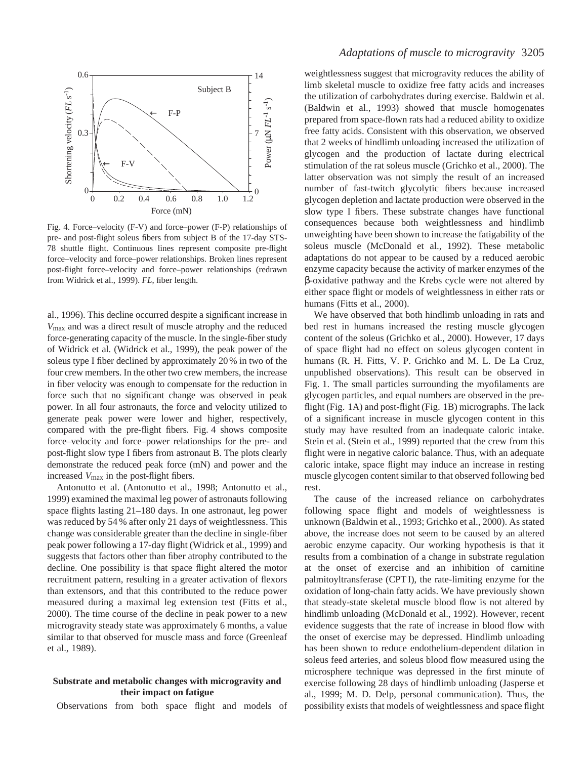

Fig. 4. Force–velocity (F-V) and force–power (F-P) relationships of pre- and post-flight soleus fibers from subject B of the 17-day STS-78 shuttle flight. Continuous lines represent composite pre-flight force–velocity and force–power relationships. Broken lines represent post-flight force–velocity and force–power relationships (redrawn from Widrick et al., 1999). *FL*, fiber length.

al., 1996). This decline occurred despite a significant increase in *V*max and was a direct result of muscle atrophy and the reduced force-generating capacity of the muscle. In the single-fiber study of Widrick et al. (Widrick et al., 1999), the peak power of the soleus type I fiber declined by approximately 20 % in two of the four crew members. In the other two crew members, the increase in fiber velocity was enough to compensate for the reduction in force such that no significant change was observed in peak power. In all four astronauts, the force and velocity utilized to generate peak power were lower and higher, respectively, compared with the pre-flight fibers. Fig. 4 shows composite force–velocity and force–power relationships for the pre- and post-flight slow type I fibers from astronaut B. The plots clearly demonstrate the reduced peak force (mN) and power and the increased *V*max in the post-flight fibers.

Antonutto et al. (Antonutto et al., 1998; Antonutto et al., 1999) examined the maximal leg power of astronauts following space flights lasting 21–180 days. In one astronaut, leg power was reduced by 54 % after only 21 days of weightlessness. This change was considerable greater than the decline in single-fiber peak power following a 17-day flight (Widrick et al., 1999) and suggests that factors other than fiber atrophy contributed to the decline. One possibility is that space flight altered the motor recruitment pattern, resulting in a greater activation of flexors than extensors, and that this contributed to the reduce power measured during a maximal leg extension test (Fitts et al., 2000). The time course of the decline in peak power to a new microgravity steady state was approximately 6 months, a value similar to that observed for muscle mass and force (Greenleaf et al., 1989).

## **Substrate and metabolic changes with microgravity and their impact on fatigue**

Observations from both space flight and models of

# *Adaptations of muscle to microgravity* 3205

weightlessness suggest that microgravity reduces the ability of limb skeletal muscle to oxidize free fatty acids and increases the utilization of carbohydrates during exercise. Baldwin et al. (Baldwin et al., 1993) showed that muscle homogenates prepared from space-flown rats had a reduced ability to oxidize free fatty acids. Consistent with this observation, we observed that 2 weeks of hindlimb unloading increased the utilization of glycogen and the production of lactate during electrical stimulation of the rat soleus muscle (Grichko et al., 2000). The latter observation was not simply the result of an increased number of fast-twitch glycolytic fibers because increased glycogen depletion and lactate production were observed in the slow type I fibers. These substrate changes have functional consequences because both weightlessness and hindlimb unweighting have been shown to increase the fatigability of the soleus muscle (McDonald et al., 1992). These metabolic adaptations do not appear to be caused by a reduced aerobic enzyme capacity because the activity of marker enzymes of the β-oxidative pathway and the Krebs cycle were not altered by either space flight or models of weightlessness in either rats or humans (Fitts et al., 2000).

We have observed that both hindlimb unloading in rats and bed rest in humans increased the resting muscle glycogen content of the soleus (Grichko et al., 2000). However, 17 days of space flight had no effect on soleus glycogen content in humans (R. H. Fitts, V. P. Grichko and M. L. De La Cruz, unpublished observations). This result can be observed in Fig. 1. The small particles surrounding the myofilaments are glycogen particles, and equal numbers are observed in the preflight (Fig. 1A) and post-flight (Fig. 1B) micrographs. The lack of a significant increase in muscle glycogen content in this study may have resulted from an inadequate caloric intake. Stein et al. (Stein et al., 1999) reported that the crew from this flight were in negative caloric balance. Thus, with an adequate caloric intake, space flight may induce an increase in resting muscle glycogen content similar to that observed following bed rest.

The cause of the increased reliance on carbohydrates following space flight and models of weightlessness is unknown (Baldwin et al., 1993; Grichko et al., 2000). As stated above, the increase does not seem to be caused by an altered aerobic enzyme capacity. Our working hypothesis is that it results from a combination of a change in substrate regulation at the onset of exercise and an inhibition of carnitine palmitoyltransferase (CPT I), the rate-limiting enzyme for the oxidation of long-chain fatty acids. We have previously shown that steady-state skeletal muscle blood flow is not altered by hindlimb unloading (McDonald et al., 1992). However, recent evidence suggests that the rate of increase in blood flow with the onset of exercise may be depressed. Hindlimb unloading has been shown to reduce endothelium-dependent dilation in soleus feed arteries, and soleus blood flow measured using the microsphere technique was depressed in the first minute of exercise following 28 days of hindlimb unloading (Jasperse et al., 1999; M. D. Delp, personal communication). Thus, the possibility exists that models of weightlessness and space flight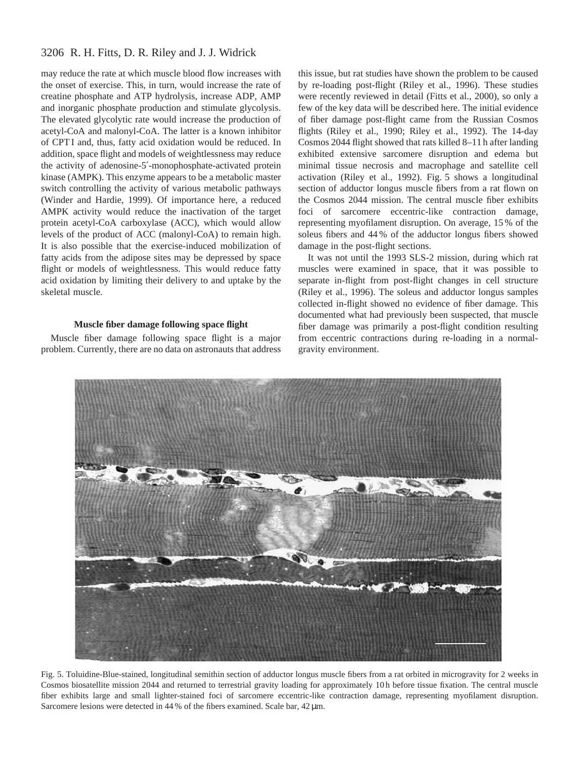# 3206 R. H. Fitts, D. R. Riley and J. J. Widrick

may reduce the rate at which muscle blood flow increases with the onset of exercise. This, in turn, would increase the rate of creatine phosphate and ATP hydrolysis, increase ADP, AMP and inorganic phosphate production and stimulate glycolysis. The elevated glycolytic rate would increase the production of acetyl-CoA and malonyl-CoA. The latter is a known inhibitor of CPT I and, thus, fatty acid oxidation would be reduced. In addition, space flight and models of weightlessness may reduce the activity of adenosine-5′-monophosphate-activated protein kinase (AMPK). This enzyme appears to be a metabolic master switch controlling the activity of various metabolic pathways (Winder and Hardie, 1999). Of importance here, a reduced AMPK activity would reduce the inactivation of the target protein acetyl-CoA carboxylase (ACC), which would allow levels of the product of ACC (malonyl-CoA) to remain high. It is also possible that the exercise-induced mobilization of fatty acids from the adipose sites may be depressed by space flight or models of weightlessness. This would reduce fatty acid oxidation by limiting their delivery to and uptake by the skeletal muscle.

## **Muscle fiber damage following space flight**

Muscle fiber damage following space flight is a major problem. Currently, there are no data on astronauts that address

this issue, but rat studies have shown the problem to be caused by re-loading post-flight (Riley et al., 1996). These studies were recently reviewed in detail (Fitts et al., 2000), so only a few of the key data will be described here. The initial evidence of fiber damage post-flight came from the Russian Cosmos flights (Riley et al., 1990; Riley et al., 1992). The 14-day Cosmos 2044 flight showed that rats killed 8–11 h after landing exhibited extensive sarcomere disruption and edema but minimal tissue necrosis and macrophage and satellite cell activation (Riley et al., 1992). Fig. 5 shows a longitudinal section of adductor longus muscle fibers from a rat flown on the Cosmos 2044 mission. The central muscle fiber exhibits foci of sarcomere eccentric-like contraction damage, representing myofilament disruption. On average, 15 % of the soleus fibers and 44 % of the adductor longus fibers showed damage in the post-flight sections.

It was not until the 1993 SLS-2 mission, during which rat muscles were examined in space, that it was possible to separate in-flight from post-flight changes in cell structure (Riley et al., 1996). The soleus and adductor longus samples collected in-flight showed no evidence of fiber damage. This documented what had previously been suspected, that muscle fiber damage was primarily a post-flight condition resulting from eccentric contractions during re-loading in a normalgravity environment.



Fig. 5. Toluidine-Blue-stained, longitudinal semithin section of adductor longus muscle fibers from a rat orbited in microgravity for 2 weeks in Cosmos biosatellite mission 2044 and returned to terrestrial gravity loading for approximately 10 h before tissue fixation. The central muscle fiber exhibits large and small lighter-stained foci of sarcomere eccentric-like contraction damage, representing myofilament disruption. Sarcomere lesions were detected in 44 % of the fibers examined. Scale bar, 42  $\mu$ m.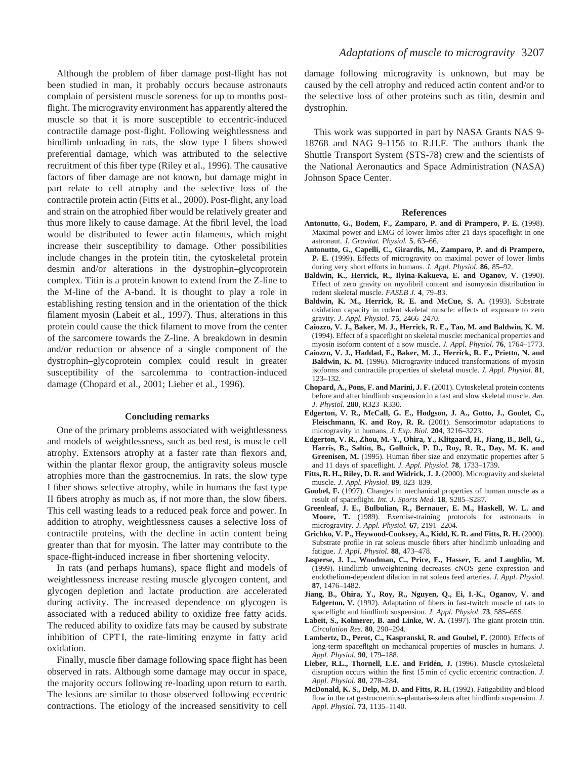Although the problem of fiber damage post-flight has not been studied in man, it probably occurs because astronauts complain of persistent muscle soreness for up to months postflight. The microgravity environment has apparently altered the muscle so that it is more susceptible to eccentric-induced contractile damage post-flight. Following weightlessness and hindlimb unloading in rats, the slow type I fibers showed preferential damage, which was attributed to the selective recruitment of this fiber type (Riley et al., 1996). The causative factors of fiber damage are not known, but damage might in part relate to cell atrophy and the selective loss of the contractile protein actin (Fitts et al., 2000). Post-flight, any load and strain on the atrophied fiber would be relatively greater and thus more likely to cause damage. At the fibril level, the load would be distributed to fewer actin filaments, which might increase their susceptibility to damage. Other possibilities include changes in the protein titin, the cytoskeletal protein desmin and/or alterations in the dystrophin–glycoprotein complex. Titin is a protein known to extend from the Z-line to the M-line of the A-band. It is thought to play a role in establishing resting tension and in the orientation of the thick filament myosin (Labeit et al., 1997). Thus, alterations in this protein could cause the thick filament to move from the center of the sarcomere towards the Z-line. A breakdown in desmin and/or reduction or absence of a single component of the dystrophin–glycoprotein complex could result in greater susceptibility of the sarcolemma to contraction-induced damage (Chopard et al., 2001; Lieber et al., 1996).

### **Concluding remarks**

One of the primary problems associated with weightlessness and models of weightlessness, such as bed rest, is muscle cell atrophy. Extensors atrophy at a faster rate than flexors and, within the plantar flexor group, the antigravity soleus muscle atrophies more than the gastrocnemius. In rats, the slow type I fiber shows selective atrophy, while in humans the fast type II fibers atrophy as much as, if not more than, the slow fibers. This cell wasting leads to a reduced peak force and power. In addition to atrophy, weightlessness causes a selective loss of contractile proteins, with the decline in actin content being greater than that for myosin. The latter may contribute to the space-flight-induced increase in fiber shortening velocity.

In rats (and perhaps humans), space flight and models of weightlessness increase resting muscle glycogen content, and glycogen depletion and lactate production are accelerated during activity. The increased dependence on glycogen is associated with a reduced ability to oxidize free fatty acids. The reduced ability to oxidize fats may be caused by substrate inhibition of CPT I, the rate-limiting enzyme in fatty acid oxidation.

Finally, muscle fiber damage following space flight has been observed in rats. Although some damage may occur in space, the majority occurs following re-loading upon return to earth. The lesions are similar to those observed following eccentric contractions. The etiology of the increased sensitivity to cell

damage following microgravity is unknown, but may be caused by the cell atrophy and reduced actin content and/or to the selective loss of other proteins such as titin, desmin and dystrophin.

This work was supported in part by NASA Grants NAS 9- 18768 and NAG 9-1156 to R.H.F. The authors thank the Shuttle Transport System (STS-78) crew and the scientists of the National Aeronautics and Space Administration (NASA) Johnson Space Center.

### **References**

- **Antonutto, G., Bodem, F., Zamparo, P. and di Prampero, P. E.** (1998). Maximal power and EMG of lower limbs after 21 days spaceflight in one astronaut. *J. Gravitat. Physiol.* **5**, 63–66.
- **Antonutto, G., Capelli, C., Girardis, M., Zamparo, P. and di Prampero, P. E.** (1999). Effects of microgravity on maximal power of lower limbs during very short efforts in humans. *J. Appl. Physiol.* **86**, 85–92.
- **Baldwin, K., Herrick, R., Ilyina-Kakueva, E. and Oganov, V.** (1990). Effect of zero gravity on myofibril content and isomyosin distribution in rodent skeletal muscle. *FASEB J.* **4**, 79–83.
- **Baldwin, K. M., Herrick, R. E. and McCue, S. A.** (1993). Substrate oxidation capacity in rodent skeletal muscle: effects of exposure to zero gravity. *J. Appl. Physiol.* **75**, 2466–2470.
- **Caiozzo, V. J., Baker, M. J., Herrick, R. E., Tao, M. and Baldwin, K. M.** (1994). Effect of a spaceflight on skeletal muscle: mechanical properties and myosin isoform content of a sow muscle. *J. Appl. Physiol.* **76**, 1764–1773.
- **Caiozzo, V. J., Haddad, F., Baker, M. J., Herrick, R. E., Prietto, N. and Baldwin, K. M.** (1996). Microgravity-induced transformations of myosin isoforms and contractile properties of skeletal muscle. *J. Appl. Physiol.* **81**, 123–132.
- **Chopard, A., Pons, F. and Marini, J. F.** (2001). Cytoskeletal protein contents before and after hindlimb suspension in a fast and slow skeletal muscle. *Am. J. Physiol.* **280**, R323–R330.
- **Edgerton, V. R., McCall, G. E., Hodgson, J. A., Gotto, J., Goulet, C., Fleischmann, K. and Roy, R. R.** (2001). Sensorimotor adaptations to microgravity in humans. *J. Exp. Biol.* **204**, 3216–3223.
- **Edgerton, V. R., Zhou, M.-Y., Ohira, Y., Klitgaard, H., Jiang, B., Bell, G., Harris, B., Saltin, B., Gollnick, P. D., Roy, R. R., Day, M. K. and Greenisen, M.** (1995). Human fiber size and enzymatic properties after 5 and 11 days of spaceflight. *J. Appl. Physiol.* **78**, 1733–1739.
- **Fitts, R. H., Riley, D. R. and Widrick, J. J.** (2000). Microgravity and skeletal muscle. *J. Appl. Physiol.* **89**, 823–839.
- **Goubel, F.** (1997). Changes in mechanical properties of human muscle as a result of spaceflight. *Int. J. Sports Med.* **18**, S285–S287.
- **Greenleaf, J. E., Bulbulian, R., Bernauer, E. M., Haskell, W. L. and Moore, T.** (1989). Exercise-training protocols for astronauts in microgravity. *J. Appl. Physiol.* **67**, 2191–2204.
- **Grichko, V. P., Heywood-Cooksey, A., Kidd, K. R. and Fitts, R. H.** (2000). Substrate profile in rat soleus muscle fibers after hindlimb unloading and fatigue. *J. Appl. Physiol.* **88**, 473–478.
- **Jasperse, J. L., Woodman, C., Price, E., Hasser, E. and Laughlin, M.** (1999). Hindlimb unweightening decreases cNOS gene expression and endothelium-dependent dilation in rat soleus feed arteries. *J. Appl. Physiol.* **87**, 1476–1482.
- **Jiang, B., Ohira, Y., Roy, R., Nguyen, Q., Ei, I.-K., Oganov, V. and Edgerton, V.** (1992). Adaptation of fibers in fast-twitch muscle of rats to spaceflight and hindlimb suspension. *J. Appl. Physiol.* **73**, 58S–65S.
- **Labeit, S., Kolmerer, B. and Linke, W. A.** (1997). The giant protein titin. *Circulation Res.* **80**, 290–294.
- **Lambertz, D., Perot, C., Kaspranski, R. and Goubel, F.** (2000). Effects of long-term spaceflight on mechanical properties of muscles in humans. *J. Appl. Physiol.* **90**, 179–188.
- **Lieber, R.L., Thornell, L.E. and Fridén, J.** (1996). Muscle cytoskeletal disruption occurs within the first 15 min of cyclic eccentric contraction. *J. Appl. Physiol.* **80**, 278–284.
- **McDonald, K. S., Delp, M. D. and Fitts, R. H.** (1992). Fatigability and blood flow in the rat gastrocnemius–plantaris–soleus after hindlimb suspension. *J. Appl. Physiol.* **73**, 1135–1140.